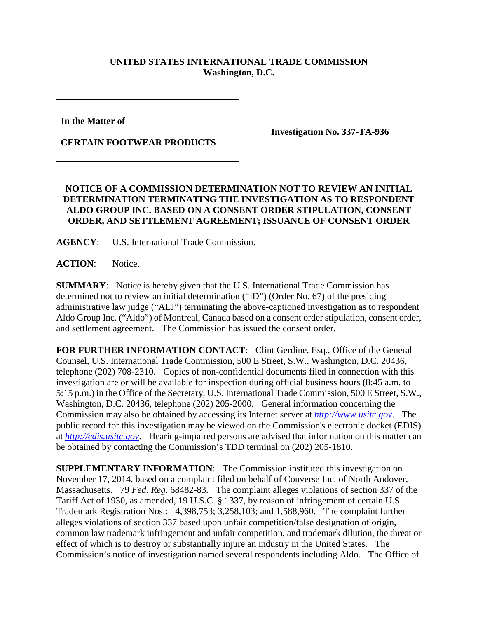## **UNITED STATES INTERNATIONAL TRADE COMMISSION Washington, D.C.**

**In the Matter of** 

**CERTAIN FOOTWEAR PRODUCTS**

**Investigation No. 337-TA-936**

## **NOTICE OF A COMMISSION DETERMINATION NOT TO REVIEW AN INITIAL DETERMINATION TERMINATING THE INVESTIGATION AS TO RESPONDENT ALDO GROUP INC. BASED ON A CONSENT ORDER STIPULATION, CONSENT ORDER, AND SETTLEMENT AGREEMENT; ISSUANCE OF CONSENT ORDER**

**AGENCY**: U.S. International Trade Commission.

**ACTION**: Notice.

**SUMMARY**: Notice is hereby given that the U.S. International Trade Commission has determined not to review an initial determination ("ID") (Order No. 67) of the presiding administrative law judge ("ALJ") terminating the above-captioned investigation as to respondent Aldo Group Inc. ("Aldo") of Montreal, Canada based on a consent order stipulation, consent order, and settlement agreement. The Commission has issued the consent order.

**FOR FURTHER INFORMATION CONTACT**: Clint Gerdine, Esq., Office of the General Counsel, U.S. International Trade Commission, 500 E Street, S.W., Washington, D.C. 20436, telephone (202) 708-2310. Copies of non-confidential documents filed in connection with this investigation are or will be available for inspection during official business hours (8:45 a.m. to 5:15 p.m.) in the Office of the Secretary, U.S. International Trade Commission, 500 E Street, S.W., Washington, D.C. 20436, telephone (202) 205-2000. General information concerning the Commission may also be obtained by accessing its Internet server at *[http://www.usitc.gov](http://www.usitc.gov/)*. The public record for this investigation may be viewed on the Commission's electronic docket (EDIS) at *[http://edis.usitc.gov](http://edis.usitc.gov/)*. Hearing-impaired persons are advised that information on this matter can be obtained by contacting the Commission's TDD terminal on (202) 205-1810.

**SUPPLEMENTARY INFORMATION**: The Commission instituted this investigation on November 17, 2014, based on a complaint filed on behalf of Converse Inc. of North Andover, Massachusetts. 79 *Fed. Reg.* 68482-83. The complaint alleges violations of section 337 of the Tariff Act of 1930, as amended, 19 U.S.C. § 1337, by reason of infringement of certain U.S. Trademark Registration Nos.: 4,398,753; 3,258,103; and 1,588,960. The complaint further alleges violations of section 337 based upon unfair competition/false designation of origin, common law trademark infringement and unfair competition, and trademark dilution, the threat or effect of which is to destroy or substantially injure an industry in the United States. The Commission's notice of investigation named several respondents including Aldo. The Office of